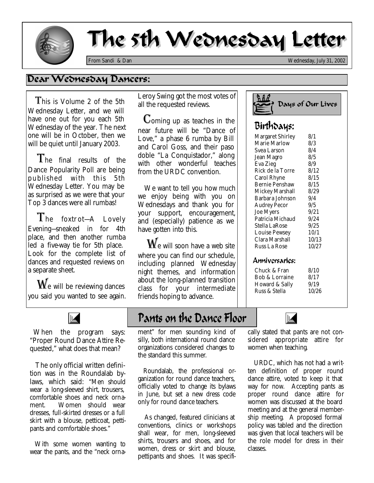

# The 5th Wednesday Letter

*From Sandi & Dan Wednesday, July 31, 2002*

### Dear Wednesday Dancers:

 This is Volume 2 of the 5th Wednesday Letter, and we will have one out for you each 5th Wednesday of the year. The next one will be in October, then we will be quiet until January 2003.

The final results of the Dance Popularity Poll are being published with this 5th Wednesday Letter. You may be as surprised as we were that your Top 3 dances were all rumbas!

 The foxtr ot—*A Lovely Evening*—sneaked in for 4th place, and then another rumba led a five-way tie for 5th place. Look for the complete list of dances and requested reviews on a separate sheet.

 $\mathbf{W}_{\text{e}}$  will be reviewing dances you said you wanted to see again.



 When the program says: "Proper Round Dance Attire Requested," what does that mean?

 The only official written definition was in the Roundalab bylaws, which said: *"Men should wear a long-sleeved shirt, trousers, comfortable shoes and neck ornament. Women should wear dresses, full-skirted dresses or a full skirt with a blouse, petticoat, pettipants and comfortable shoes."*

With some women wanting to wear the pants, and the "neck orna-

*Leroy Swing* got the most votes of all the requested reviews.

 Coming up as teaches in the near future will be "Dance of Love," a phase 6 rumba by Bill and Carol Goss, and their paso doble "La Conquistador," along with other wonderful teaches from the URDC convention.

 We want to tell you how much we enjoy being with you on Wednesdays and thank you for your support, encouragement, and (especially) patience as we have gotten into this.

 $\mathbf{W}_{\text{e}}$  will soon have a web site where you can find our schedule, including planned Wednesday night themes, and information about the long-planned transition class for your intermediate friends hoping to advance.

## Pants on the Dance Floor

ment" for men sounding kind of silly, both international round dance organizations considered changes to the standard this summer.

 Roundalab, the professional organization for round dance teachers, officially voted to change its bylaws in June, but set a new dress code only for round dance teachers.

 As changed, featured clinicians at conventions, clinics or workshops shall wear, for men, long-sleeved shirts, trousers and shoes, and for women, dress or skirt and blouse, pettipants and shoes. It was specifi-



## Birthdays:

| <b>Margaret Shirley</b> | 8/1   |
|-------------------------|-------|
| Marie Marlow            | 8/3   |
| Svea Larson             | 8/4   |
| Jean Magro              | 8/5   |
| <b>Eva Zieg</b>         | 8/9   |
| Rick de la Torre        | 8/12  |
| <b>Carol Rhyne</b>      | 8/15  |
| <b>Bernie Penshaw</b>   | 8/15  |
| Mickey Marshall         | 8/29  |
| Barbara Johnson         | 9/4   |
| <b>Audrey Pecor</b>     | 9/5   |
| <b>Joe Myers</b>        | 9/21  |
| Patricia Michaud        | 9/24  |
| Stella LaRose           | 9/25  |
| <b>Louise Pewsey</b>    | 10/1  |
| Clara Marshall          | 10/13 |
| Russ La Rose            | 10/27 |
|                         |       |

#### Anniversaries:

Chuck & Fran Bob & Lorraine Howard & Sally Russ & Stella 8/10 8/17 9/19 10/26



cally stated that pants are not considered appropriate attire for women when teaching.

 URDC, which has not had a written definition of proper round dance attire, voted to keep it that way for now. Accepting pants as proper round dance attire for women was discussed at the board meeting and at the general membership meeting. A proposed formal policy was tabled and the direction was given that local teachers will be the role model for dress in their classes.